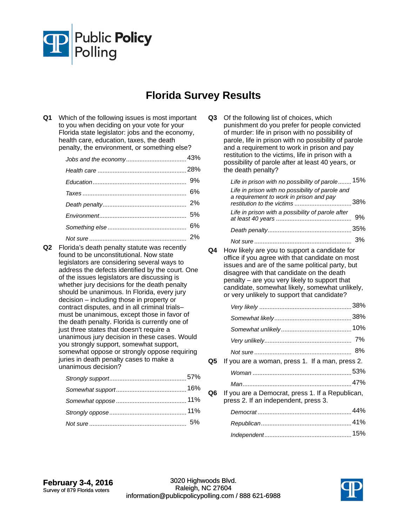

## **Florida Survey Results**

**Q1** Which of the following issues is most important to you when deciding on your vote for your Florida state legislator: jobs and the economy, health care, education, taxes, the death penalty, the environment, or something else?

**Q2** Florida's death penalty statute was recently found to be unconstitutional. Now state legislators are considering several ways to address the defects identified by the court. One of the issues legislators are discussing is whether jury decisions for the death penalty should be unanimous. In Florida, every jury decision – including those in property or contract disputes, and in all criminal trials– must be unanimous, except those in favor of the death penalty. Florida is currently one of just three states that doesn't require a unanimous jury decision in these cases. Would you strongly support, somewhat support, somewhat oppose or strongly oppose requiring juries in death penalty cases to make a unanimous decision?

**Q3** Of the following list of choices, which punishment do you prefer for people convicted of murder: life in prison with no possibility of parole, life in prison with no possibility of parole and a requirement to work in prison and pay restitution to the victims, life in prison with a possibility of parole after at least 40 years, or the death penalty? Life in prison with no possibility of parole........ 15% 38% *restitution to the victims* .................................. *Life in prison with no possibility of parole and a requirement to work in prison and pay*  9% *Life in prison with a possibility of parole after at least 40 years* ............................................. *Death penalty* 35% .................................................. *Not sure* 3% .......................................................... **Q4** How likely are you to support a candidate for office if you agree with that candidate on most issues and are of the same political party, but disagree with that candidate on the death penalty – are you very likely to support that candidate, somewhat likely, somewhat unlikely, or very unlikely to support that candidate? *Very likely* 38% ....................................................... *Somewhat likely* 38% .............................................. *Somewhat unlikely* 10% .......................................... *Very unlikely* 7% .................................................... *Not sure* 8% .......................................................... **Q5** If you are a woman, press 1. If a man, press 2. *Woman* 53% ........................................................... *Man* 47% ................................................................. **Q6** If you are a Democrat, press 1. If a Republican, press 2. If an independent, press 3. *Democrat* 44% ........................................................ *Republican* 41% ...................................................... 15% *Independent*....................................................

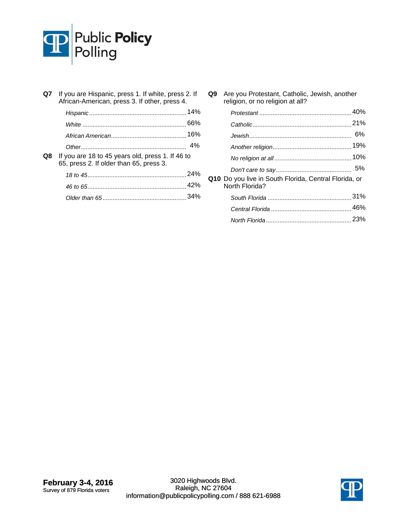

| Q7 | If you are Hispanic, press 1. If white, press 2. If<br>African-American, press 3. If other, press 4. |     |
|----|------------------------------------------------------------------------------------------------------|-----|
|    |                                                                                                      | 14% |
|    |                                                                                                      |     |
|    |                                                                                                      |     |
|    |                                                                                                      | 4%  |
| Q8 | If you are 18 to 45 years old, press 1. If 46 to<br>65, press 2. If older than 65, press 3.          |     |
|    |                                                                                                      |     |
|    |                                                                                                      |     |
|    |                                                                                                      |     |

**Q9** Are you Protestant, Catholic, Jewish, another religion, or no religion at all? Protestant **10%** 

|                                                                         | 6% |
|-------------------------------------------------------------------------|----|
|                                                                         |    |
|                                                                         |    |
|                                                                         |    |
| Q10 Do you live in South Florida, Central Florida, or<br>North Florida? |    |
|                                                                         |    |
|                                                                         |    |
|                                                                         |    |

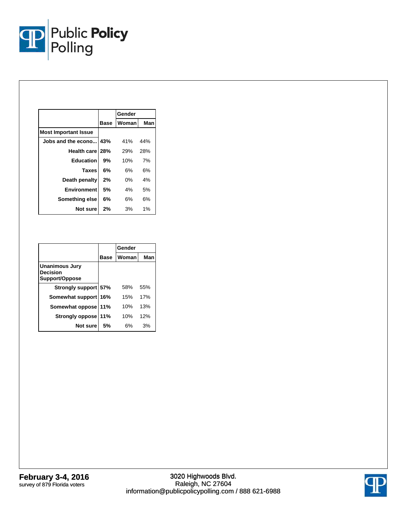

|                             |             | Gender |     |
|-----------------------------|-------------|--------|-----|
|                             | <b>Base</b> | Woman  | Man |
| <b>Most Important Issue</b> |             |        |     |
| Jobs and the econo          | 43%         | 41%    | 44% |
| Health care 28%             |             | 29%    | 28% |
| <b>Education</b>            | 9%          | 10%    | 7%  |
| <b>Taxes</b>                | 6%          | 6%     | 6%  |
| Death penalty               | 2%          | $0\%$  | 4%  |
| <b>Environment</b>          | 5%          | 4%     | 5%  |
| Something else              | 6%          | 6%     | 6%  |
| Not sure                    | 2%          | 3%     | 1%  |

|                                                     |       | Gender |     |
|-----------------------------------------------------|-------|--------|-----|
|                                                     | Base  | Woman  | Man |
| <b>Unanimous Jury</b><br>Decision<br>Support/Oppose |       |        |     |
| Strongly support 57%                                |       | 58%    | 55% |
| Somewhat support                                    | l 16% | 15%    | 17% |
| Somewhat oppose                                     | 11%   | 10%    | 13% |
| <b>Strongly oppose</b>                              | 11%   | 10%    | 12% |
| Not sure                                            | 5%    | 6%     | 3%  |

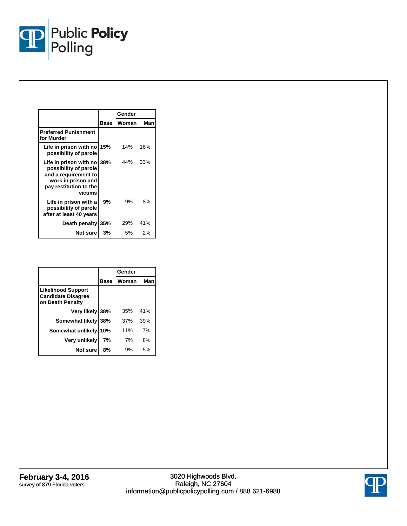

|                                                                                                                                        |             | Gender |     |
|----------------------------------------------------------------------------------------------------------------------------------------|-------------|--------|-----|
|                                                                                                                                        | <b>Base</b> | Woman  | Man |
| <b>Preferred Punishment</b><br>for Murder                                                                                              |             |        |     |
| Life in prison with no 15%<br>possibility of parole                                                                                    |             | 14%    | 16% |
| Life in prison with no 38%<br>possibility of parole<br>and a requirement to<br>work in prison and<br>pay restitution to the<br>victims |             | 44%    | 33% |
| Life in prison with a<br>possibility of parole<br>after at least 40 years                                                              | 9%          | 9%     | 8%  |
| Death penalty                                                                                                                          | 35%         | 29%    | 41% |
| Not sure                                                                                                                               | 3%          | 5%     | 2%  |

|                                                                            |             | Gender |     |
|----------------------------------------------------------------------------|-------------|--------|-----|
|                                                                            | <b>Base</b> | Woman  | Man |
| <b>Likelihood Support</b><br><b>Candidate Disagree</b><br>on Death Penalty |             |        |     |
| Very likely 38%                                                            |             | 35%    | 41% |
| Somewhat likely 38%                                                        |             | 37%    | 39% |
| Somewhat unlikely                                                          | 10%         | 11%    | 7%  |
| Very unlikely                                                              | 7%          | 7%     | 8%  |
| Not sure                                                                   | 8%          | 9%     | 5%  |

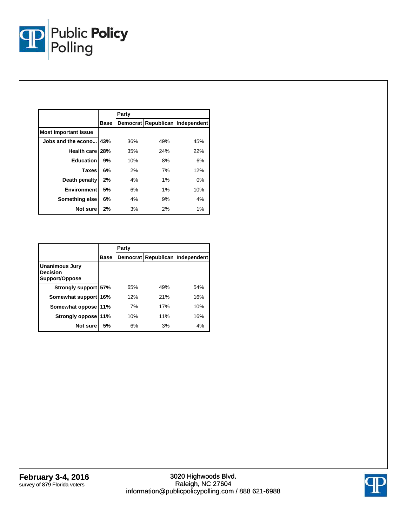

|                             |             | Party |       |                                 |
|-----------------------------|-------------|-------|-------|---------------------------------|
|                             | <b>Base</b> |       |       | Democrat Republican Independent |
| <b>Most Important Issue</b> |             |       |       |                                 |
| Jobs and the econo          | 43%         | 36%   | 49%   | 45%                             |
| Health care 28%             |             | 35%   | 24%   | 22%                             |
| <b>Education</b>            | 9%          | 10%   | 8%    | 6%                              |
| <b>Taxes</b>                | 6%          | 2%    | 7%    | 12%                             |
| Death penalty               | 2%          | 4%    | $1\%$ | $0\%$                           |
| <b>Environment</b>          | 5%          | 6%    | $1\%$ | 10%                             |
| Something else              | 6%          | 4%    | 9%    | 4%                              |
| Not sure                    | 2%          | 3%    | 2%    | 1%                              |

|                                                            |             | Party |     |                                 |
|------------------------------------------------------------|-------------|-------|-----|---------------------------------|
|                                                            | <b>Base</b> |       |     | Democrat Republican Independent |
| <b>Unanimous Jury</b><br><b>Decision</b><br>Support/Oppose |             |       |     |                                 |
| Strongly support 57%                                       |             | 65%   | 49% | 54%                             |
| Somewhat support                                           | 16%         | 12%   | 21% | 16%                             |
| Somewhat oppose                                            | 11%         | 7%    | 17% | 10%                             |
| <b>Strongly oppose</b>                                     | 11%         | 10%   | 11% | 16%                             |
| Not sure                                                   | 5%          | 6%    | 3%  | 4%                              |

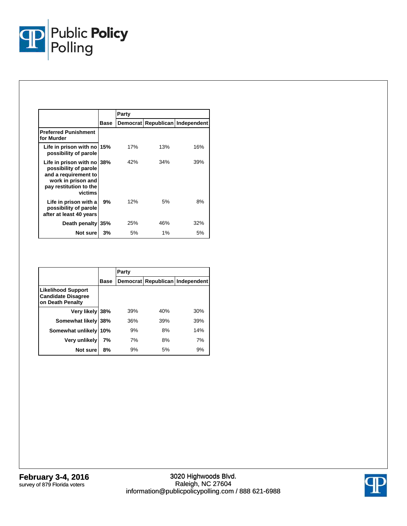

|                                                                                                                                           |      | Party           |       |                          |  |
|-------------------------------------------------------------------------------------------------------------------------------------------|------|-----------------|-------|--------------------------|--|
|                                                                                                                                           | Base | <b>Democrat</b> |       | Republican   Independent |  |
| <b>Preferred Punishment</b><br>for Murder                                                                                                 |      |                 |       |                          |  |
| Life in prison with no 15%<br>possibility of parole                                                                                       |      | 17%             | 13%   | 16%                      |  |
| Life in prison with no $38\%$<br>possibility of parole<br>and a requirement to<br>work in prison and<br>pay restitution to the<br>victims |      | 42%             | 34%   | 39%                      |  |
| Life in prison with a<br>possibility of parole<br>after at least 40 years                                                                 | 9%   | 12%             | 5%    | 8%                       |  |
| Death penalty                                                                                                                             | 35%  | 25%             | 46%   | 32%                      |  |
| Not sure                                                                                                                                  | 3%   | 5%              | $1\%$ | 5%                       |  |

|                                                                            |             | Party |     |                                 |
|----------------------------------------------------------------------------|-------------|-------|-----|---------------------------------|
|                                                                            | <b>Base</b> |       |     | Democrat Republican Independent |
| <b>Likelihood Support</b><br><b>Candidate Disagree</b><br>on Death Penalty |             |       |     |                                 |
| Very likely 38%                                                            |             | 39%   | 40% | 30%                             |
| Somewhat likely                                                            | 38%         | 36%   | 39% | 39%                             |
| Somewhat unlikely                                                          | 10%         | 9%    | 8%  | 14%                             |
| Very unlikely                                                              | 7%          | 7%    | 8%  | 7%                              |
| Not sure                                                                   | 8%          | 9%    | 5%  | 9%                              |

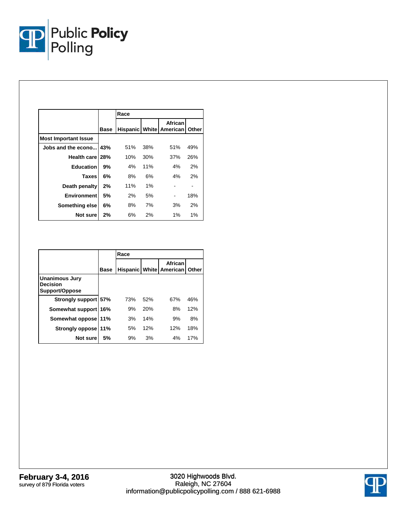

|                             |             | Race |     |                                           |       |
|-----------------------------|-------------|------|-----|-------------------------------------------|-------|
|                             | <b>Base</b> |      |     | African<br><b>Hispanic White American</b> | Other |
| <b>Most Important Issue</b> |             |      |     |                                           |       |
| Jobs and the econo 43%      |             | 51%  | 38% | 51%                                       | 49%   |
| Health care 28%             |             | 10%  | 30% | 37%                                       | 26%   |
| <b>Education</b>            | 9%          | 4%   | 11% | 4%                                        | 2%    |
| <b>Taxes</b>                | 6%          | 8%   | 6%  | 4%                                        | 2%    |
| Death penalty               | 2%          | 11%  | 1%  |                                           |       |
| <b>Environment</b>          | 5%          | 2%   | 5%  |                                           | 18%   |
| Something else              | 6%          | 8%   | 7%  | 3%                                        | 2%    |
| Not sure                    | 2%          | 6%   | 2%  | $1\%$                                     | 1%    |

|                                                            |             | Race |     |                                        |       |  |  |
|------------------------------------------------------------|-------------|------|-----|----------------------------------------|-------|--|--|
|                                                            | <b>Base</b> |      |     | African<br>Hispanic   White   American | Other |  |  |
| <b>Unanimous Jury</b><br><b>Decision</b><br>Support/Oppose |             |      |     |                                        |       |  |  |
| Strongly support 57%                                       |             | 73%  | 52% | 67%                                    | 46%   |  |  |
| Somewhat support                                           | 16%         | 9%   | 20% | 8%                                     | 12%   |  |  |
| Somewhat oppose                                            | 11%         | 3%   | 14% | 9%                                     | 8%    |  |  |
| Strongly oppose 11%                                        |             | 5%   | 12% | 12%                                    | 18%   |  |  |
| Not sure                                                   | 5%          | 9%   | 3%  | 4%                                     | 17%   |  |  |

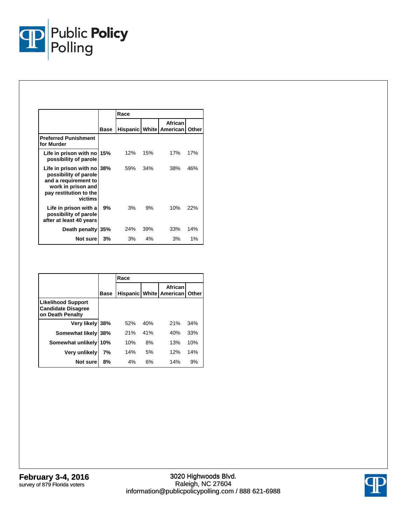

|                                                                                                                                        |             | Race |     |                                           |       |
|----------------------------------------------------------------------------------------------------------------------------------------|-------------|------|-----|-------------------------------------------|-------|
|                                                                                                                                        | <b>Base</b> |      |     | African<br><b>Hispanic White American</b> | Other |
| <b>Preferred Punishment</b><br>for Murder                                                                                              |             |      |     |                                           |       |
| Life in prison with no<br>possibility of parole                                                                                        | 15%         | 12%  | 15% | 17%                                       | 17%   |
| Life in prison with no 38%<br>possibility of parole<br>and a requirement to<br>work in prison and<br>pay restitution to the<br>victims |             | 59%  | 34% | 38%                                       | 46%   |
| Life in prison with a<br>possibility of parole<br>after at least 40 years                                                              | 9%          | 3%   | 9%  | 10%                                       | 22%   |
| Death penalty 35%                                                                                                                      |             | 24%  | 39% | 33%                                       | 14%   |
| Not sure                                                                                                                               | 3%          | 3%   | 4%  | 3%                                        | 1%    |

|                                                                            |             | Race            |        |                     |       |  |  |
|----------------------------------------------------------------------------|-------------|-----------------|--------|---------------------|-------|--|--|
|                                                                            | <b>Base</b> | <b>Hispanic</b> | Whitel | African<br>American | Other |  |  |
| <b>Likelihood Support</b><br><b>Candidate Disagree</b><br>on Death Penalty |             |                 |        |                     |       |  |  |
| Very likely                                                                | 38%         | 52%             | 40%    | 21%                 | 34%   |  |  |
| Somewhat likely                                                            | 38%         | 21%             | 41%    | 40%                 | 33%   |  |  |
| Somewhat unlikely                                                          | 10%         | 10%             | 8%     | 13%                 | 10%   |  |  |
| Very unlikely                                                              | 7%          | 14%             | 5%     | 12%                 | 14%   |  |  |
| Not sure                                                                   | 8%          | 4%              | 6%     | 14%                 | 9%    |  |  |

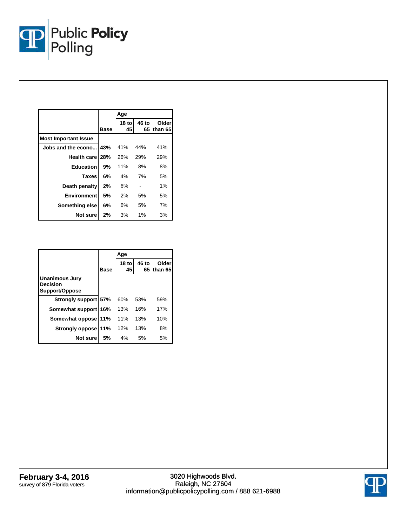

|                             |      | Age           |             |                  |
|-----------------------------|------|---------------|-------------|------------------|
|                             | Base | $18$ to<br>45 | 46 to<br>65 | Older<br>than 65 |
| <b>Most Important Issue</b> |      |               |             |                  |
| Jobs and the econo          | 43%  | 41%           | 44%         | 41%              |
| Health care 28%             |      | 26%           | 29%         | 29%              |
| <b>Education</b>            | 9%   | 11%           | 8%          | 8%               |
| <b>Taxes</b>                | 6%   | 4%            | 7%          | 5%               |
| Death penalty               | 2%   | 6%            |             | 1%               |
| <b>Environment</b>          | 5%   | 2%            | 5%          | 5%               |
| Something else              | 6%   | 6%            | 5%          | 7%               |
| Not sure                    | 2%   | 3%            | $1\%$       | 3%               |

|                                                            |             | Age           |             |                    |
|------------------------------------------------------------|-------------|---------------|-------------|--------------------|
|                                                            | <b>Base</b> | $18$ to<br>45 | 46 to<br>65 | Older<br>l than 65 |
| <b>Unanimous Jury</b><br><b>Decision</b><br>Support/Oppose |             |               |             |                    |
| Strongly support 57%                                       |             | 60%           | 53%         | 59%                |
| Somewhat support                                           | 16%         | 13%           | 16%         | 17%                |
| Somewhat oppose                                            | 11%         | 11%           | 13%         | 10%                |
| Strongly oppose                                            | 11%         | 12%           | 13%         | 8%                 |
| Not sure                                                   | 5%          | 4%            | 5%          | 5%                 |

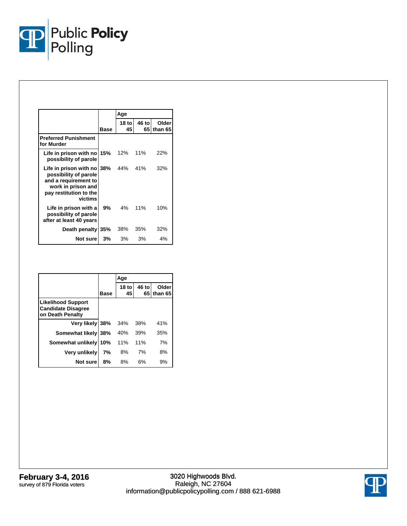

|                                                                                                                                    |                | Age           |             |                  |
|------------------------------------------------------------------------------------------------------------------------------------|----------------|---------------|-------------|------------------|
|                                                                                                                                    | Base           | $18$ to<br>45 | 46 to<br>65 | Older<br>than 65 |
| <b>Preferred Punishment</b><br>for Murder                                                                                          |                |               |             |                  |
| Life in prison with no 15%<br>possibility of parole                                                                                |                | 12%           | 11%         | 22%              |
| Life in prison with no<br>possibility of parole<br>and a requirement to<br>work in prison and<br>pay restitution to the<br>victims | <b>38%</b> 44% |               | 41%         | 32%              |
| Life in prison with a<br>possibility of parole<br>after at least 40 years                                                          | 9%             | 4%            | 11%         | 10%              |
| Death penalty                                                                                                                      | 35%            | 38%           | 35%         | 32%              |
| Not sure                                                                                                                           | $3\%$          | 3%            | 3%          | 4%               |

|                                                                            |      | Age           |             |                  |
|----------------------------------------------------------------------------|------|---------------|-------------|------------------|
|                                                                            | Base | $18$ to<br>45 | 46 to<br>65 | Older<br>than 65 |
| <b>Likelihood Support</b><br><b>Candidate Disagree</b><br>on Death Penalty |      |               |             |                  |
| Very likely 38%                                                            |      | 34%           | 38%         | 41%              |
| Somewhat likely                                                            | 38%  | 40%           | 39%         | 35%              |
| Somewhat unlikely                                                          | 10%  | 11%           | 11%         | 7%               |
| <b>Very unlikely</b>                                                       | 7%   | 8%            | 7%          | 8%               |
| Not sure                                                                   | 8%   | 8%            | 6%          | 9%               |

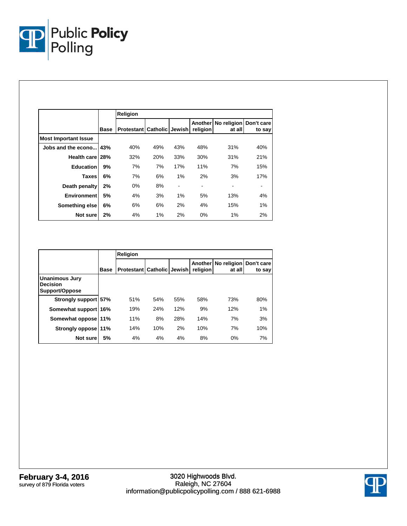

|                             |             | Religion                              |     |     |                     |                                  |        |
|-----------------------------|-------------|---------------------------------------|-----|-----|---------------------|----------------------------------|--------|
|                             | <b>Base</b> | <b>Protestant   Catholic   Jewish</b> |     |     | Another<br>religion | No religion Don't care<br>at all | to say |
| <b>Most Important Issue</b> |             |                                       |     |     |                     |                                  |        |
| Jobs and the econo          | 43%         | 40%                                   | 49% | 43% | 48%                 | 31%                              | 40%    |
| <b>Health carel</b>         | 28%         | 32%                                   | 20% | 33% | 30%                 | 31%                              | 21%    |
| <b>Education</b>            | 9%          | 7%                                    | 7%  | 17% | 11%                 | 7%                               | 15%    |
| <b>Taxes</b>                | 6%          | 7%                                    | 6%  | 1%  | 2%                  | 3%                               | 17%    |
| Death penalty               | 2%          | $0\%$                                 | 8%  |     | ۰                   |                                  |        |
| <b>Environment</b>          | 5%          | 4%                                    | 3%  | 1%  | 5%                  | 13%                              | 4%     |
| Something else              | 6%          | 6%                                    | 6%  | 2%  | 4%                  | 15%                              | 1%     |
| Not sure                    | 2%          | 4%                                    | 1%  | 2%  | 0%                  | 1%                               | 2%     |

|                                                            |             | <b>Religion</b>   |                        |     |                     |                       |                      |  |
|------------------------------------------------------------|-------------|-------------------|------------------------|-----|---------------------|-----------------------|----------------------|--|
|                                                            | <b>Base</b> | <b>Protestant</b> | <b>Catholic Jewish</b> |     | Another<br>religion | No religion<br>at all | Don't care<br>to say |  |
| <b>Unanimous Jury</b><br><b>Decision</b><br>Support/Oppose |             |                   |                        |     |                     |                       |                      |  |
| Strongly support 57%                                       |             | 51%               | 54%                    | 55% | 58%                 | 73%                   | 80%                  |  |
| Somewhat support 16%                                       |             | 19%               | 24%                    | 12% | 9%                  | 12%                   | 1%                   |  |
| Somewhat oppose 11%                                        |             | 11%               | 8%                     | 28% | 14%                 | 7%                    | 3%                   |  |
| Strongly oppose 11%                                        |             | 14%               | 10%                    | 2%  | 10%                 | 7%                    | 10%                  |  |
| Not sure                                                   | 5%          | 4%                | 4%                     | 4%  | 8%                  | 0%                    | 7%                   |  |

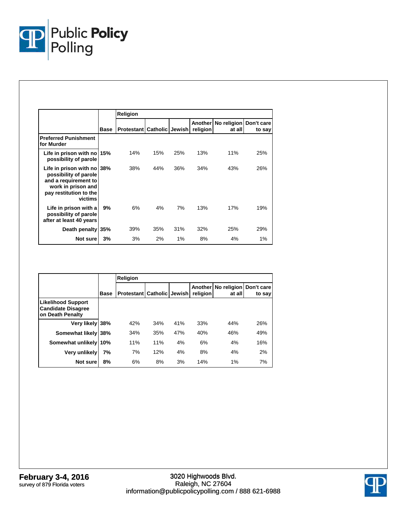

|                                                                                                                                        |      | Religion                                |     |     |                            |                                  |        |
|----------------------------------------------------------------------------------------------------------------------------------------|------|-----------------------------------------|-----|-----|----------------------------|----------------------------------|--------|
|                                                                                                                                        | Base | <b>Protestant   Catholic   Jewish  </b> |     |     | <b>Another</b><br>religion | No religion Don't care<br>at all | to say |
| <b>Preferred Punishment</b><br>for Murder                                                                                              |      |                                         |     |     |                            |                                  |        |
| Life in prison with no 15%<br>possibility of parole                                                                                    |      | 14%                                     | 15% | 25% | 13%                        | 11%                              | 25%    |
| Life in prison with no 38%<br>possibility of parole<br>and a requirement to<br>work in prison and<br>pay restitution to the<br>victims |      | 38%                                     | 44% | 36% | 34%                        | 43%                              | 26%    |
| Life in prison with a<br>possibility of parole<br>after at least 40 years                                                              | 9%   | 6%                                      | 4%  | 7%  | 13%                        | 17%                              | 19%    |
| Death penalty 35%                                                                                                                      |      | 39%                                     | 35% | 31% | 32%                        | 25%                              | 29%    |
| Not sure                                                                                                                               | 3%   | 3%                                      | 2%  | 1%  | 8%                         | 4%                               | 1%     |

|                                                                            |             | <b>Religion</b>                         |     |     |                            |                                  |        |  |  |
|----------------------------------------------------------------------------|-------------|-----------------------------------------|-----|-----|----------------------------|----------------------------------|--------|--|--|
|                                                                            | <b>Base</b> | <b>Protestant   Catholic   Jewish  </b> |     |     | <b>Another</b><br>religion | No religion Don't care<br>at all | to say |  |  |
| <b>Likelihood Support</b><br><b>Candidate Disagree</b><br>on Death Penalty |             |                                         |     |     |                            |                                  |        |  |  |
| Very likely 38%                                                            |             | 42%                                     | 34% | 41% | 33%                        | 44%                              | 26%    |  |  |
| Somewhat likely                                                            | 38%         | 34%                                     | 35% | 47% | 40%                        | 46%                              | 49%    |  |  |
| Somewhat unlikely                                                          | 10%         | 11%                                     | 11% | 4%  | 6%                         | 4%                               | 16%    |  |  |
| Very unlikely                                                              | 7%          | 7%                                      | 12% | 4%  | 8%                         | 4%                               | 2%     |  |  |
| Not sure                                                                   | 8%          | 6%                                      | 8%  | 3%  | 14%                        | 1%                               | 7%     |  |  |

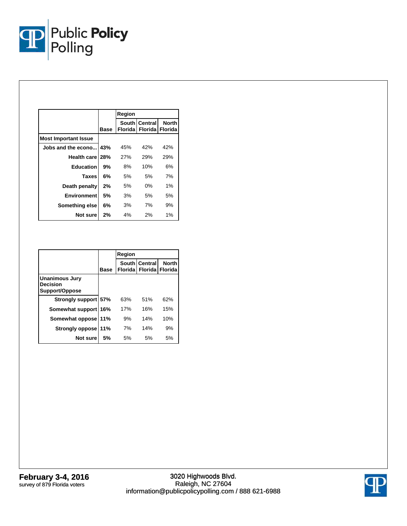

|                             |      | Region |                                              |              |
|-----------------------------|------|--------|----------------------------------------------|--------------|
|                             | Base |        | South Central<br>Florida   Florida   Florida | <b>North</b> |
| <b>Most Important Issue</b> |      |        |                                              |              |
| Jobs and the econo 43%      |      | 45%    | 42%                                          | 42%          |
| Health care 28%             |      | 27%    | 29%                                          | 29%          |
| <b>Education</b>            | 9%   | 8%     | 10%                                          | 6%           |
| <b>Taxes</b>                | 6%   | 5%     | 5%                                           | 7%           |
| Death penalty               | 2%   | 5%     | $0\%$                                        | $1\%$        |
| <b>Environment</b>          | 5%   | 3%     | 5%                                           | 5%           |
| Something else              | 6%   | 3%     | 7%                                           | 9%           |
| Not sure                    | 2%   | 4%     | 2%                                           | 1%           |

|                                                     |             | Region |                                                     |              |
|-----------------------------------------------------|-------------|--------|-----------------------------------------------------|--------------|
|                                                     | <b>Base</b> |        | South Central<br><b>Florida   Florida   Florida</b> | <b>North</b> |
| Unanimous Jury<br><b>Decision</b><br>Support/Oppose |             |        |                                                     |              |
| Strongly support 57%                                |             | 63%    | 51%                                                 | 62%          |
| Somewhat support                                    | 16%         | 17%    | 16%                                                 | 15%          |
| Somewhat oppose                                     | 11%         | 9%     | 14%                                                 | 10%          |
| <b>Strongly oppose</b>                              | 11%         | 7%     | 14%                                                 | 9%           |
| Not sure                                            | .5%         | 5%     | 5%                                                  | 5%           |